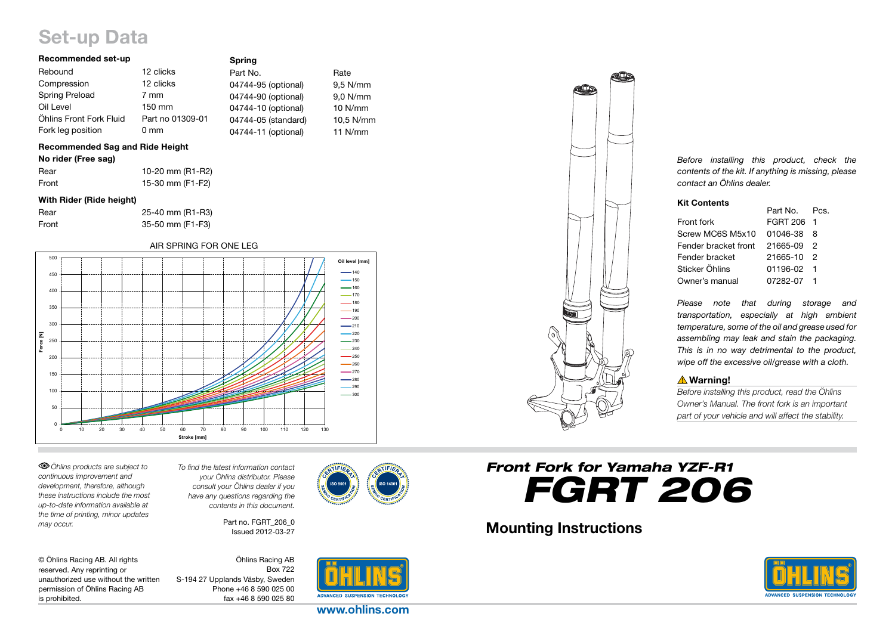# Set-up Data

### Recommended set-up

| Recommended set-up      |                  | <b>Spring</b>       |            |
|-------------------------|------------------|---------------------|------------|
| Rebound                 | 12 clicks        | Part No.            | Rate       |
| Compression             | 12 clicks        | 04744-95 (optional) | $9.5$ N/mm |
| <b>Spring Preload</b>   | 7 mm             | 04744-90 (optional) | 9,0 N/mm   |
| Oil Level               | 150 mm           | 04744-10 (optional) | $10$ N/mm  |
| Öhlins Front Fork Fluid | Part no 01309-01 | 04744-05 (standard) | 10,5 N/mm  |
| Fork leg position       | 0 <sub>mm</sub>  | 04744-11 (optional) | $11$ N/mm  |
|                         |                  |                     |            |

## Recommended Sag and Ride Height

| No rider (Free sag) |  |  |  |  |  |
|---------------------|--|--|--|--|--|
|---------------------|--|--|--|--|--|

| Rear  | 10-20 mm (R1-R2) |
|-------|------------------|
| Front | 15-30 mm (F1-F2) |

#### With Rider (Ride height)

| Rear  | 25-40 mm (R1-R3) |
|-------|------------------|
| Front | 35-50 mm (F1-F3) |

#### AIR SPRING FOR ONE LEG



*Öhlins products are subject to continuous improvement and development, therefore, although these instructions include the most up-to-date information available at the time of printing, minor updates may occur.* 

*To find the latest information contact your Öhlins distributor. Please consult your Öhlins dealer if you have any questions regarding the contents in this document.*

> Part no. FGRT 206\_0 Issued 2012-03-27

| © Öhlins Racing AB. All rights       |
|--------------------------------------|
| reserved. Any reprinting or          |
| unauthorized use without the written |
| permission of Öhlins Racing AB       |
| is prohibited.                       |

Öhlins Racing AB Box 722 S-194 27 Upplands Väsby, Sweden Phone +46 8 590 025 00 fax +46 8 590 025 80





*Before installing this product, check the contents of the kit. If anything is missing, please contact an Öhlins dealer.*

### Kit Contents

|                      | Part No. Pcs. |    |
|----------------------|---------------|----|
| Front fork           | FGRT 206 1    |    |
| Screw MC6S M5x10     | 01046-38      | -8 |
| Fender bracket front | 21665-09 2    |    |
| Fender bracket       | 21665-10 2    |    |
| Sticker Öhlins       | 01196-02 1    |    |
| Owner's manual       | 07282-07 1    |    |

*Please note that during storage and transportation, especially at high ambient temperature, some of the oil and grease used for assembling may leak and stain the packaging. This is in no way detrimental to the product, wipe off the excessive oil/grease with a cloth.*

# **△Warning!**

*Before installing this product, read the Öhlins Owner's Manual. The front fork is an important part of your vehicle and will affect the stability.*

# *Front Fork for Yamaha YZF-R1 FGRT 206*

# Mounting Instructions



www.ohlins.com